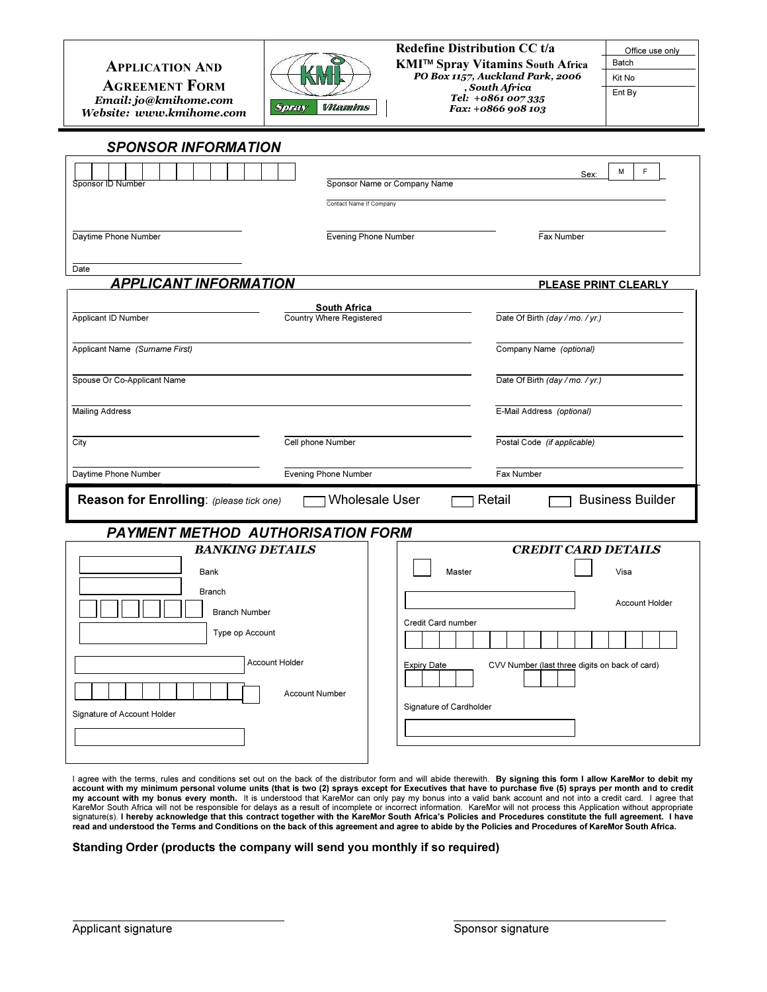## APPLICATION AND

AGREEMENT FORM Email: jo@kmihome.com Website: www.kmihome.com

i



#### Redefine Distribution CC t/a KMI™ Spray Vitamins South Africa PO Box 1157, Auckland Park, 2006 , South Africa

Tel: +0861 007 335 Fax: +0866 908 103

Office use only Batch Kit No Ent By

# SPONSOR INFORMATION

|                                                                                                       |                                 | M<br>E<br>Sex:                                                       |
|-------------------------------------------------------------------------------------------------------|---------------------------------|----------------------------------------------------------------------|
| Sponsor ID Number                                                                                     | Sponsor Name or Company Name    |                                                                      |
|                                                                                                       | Contact Name If Company         |                                                                      |
| Daytime Phone Number                                                                                  | <b>Evening Phone Number</b>     | Fax Number                                                           |
|                                                                                                       |                                 |                                                                      |
| Date<br><b>APPLICANT INFORMATION</b>                                                                  |                                 | <b>PLEASE PRINT CLEARLY</b>                                          |
|                                                                                                       | <b>South Africa</b>             |                                                                      |
| Applicant ID Number                                                                                   | <b>Country Where Registered</b> | Date Of Birth (day / mo. / yr.)                                      |
| Applicant Name (Surname First)                                                                        |                                 | Company Name (optional)                                              |
| Spouse Or Co-Applicant Name                                                                           |                                 | Date Of Birth (day / mo. / yr.)                                      |
| <b>Mailing Address</b>                                                                                |                                 | E-Mail Address (optional)                                            |
| City                                                                                                  | Cell phone Number               | Postal Code (if applicable)                                          |
| Daytime Phone Number                                                                                  | Evening Phone Number            | Fax Number                                                           |
| <b>Wholesale User</b><br>Reason for Enrolling: (please tick one)<br>Retail<br><b>Business Builder</b> |                                 |                                                                      |
| <b>PAYMENT METHOD AUTHORISATION FORM</b>                                                              |                                 |                                                                      |
| <b>BANKING DETAILS</b>                                                                                |                                 | <b>CREDIT CARD DETAILS</b>                                           |
| Bank                                                                                                  |                                 | Master<br>Visa                                                       |
| <b>Branch</b>                                                                                         |                                 | <b>Account Holder</b>                                                |
| <b>Branch Number</b>                                                                                  |                                 | Credit Card number                                                   |
| Type op Account                                                                                       |                                 |                                                                      |
| <b>Account Holder</b>                                                                                 | <b>Account Number</b>           | CVV Number (last three digits on back of card)<br><b>Expiry Date</b> |
| Signature of Account Holder                                                                           |                                 | Signature of Cardholder                                              |
|                                                                                                       |                                 |                                                                      |
|                                                                                                       |                                 |                                                                      |

I agree with the terms, rules and conditions set out on the back of the distributor form and will abide therewith. By signing this form I allow KareMor to debit my account with my minimum personal volume units (that is two (2) sprays except for Executives that have to purchase five (5) sprays per month and to credit<br>my account with my bonus every month. It is understood that KareMor signature(s). I hereby acknowledge that this contract together with the KareMor South Africa's Policies and Procedures constitute the full agreement. I have read and understood the Terms and Conditions on the back of this agreement and agree to abide by the Policies and Procedures of KareMor South Africa.

### Standing Order (products the company will send you monthly if so required)

 $\overline{a}$